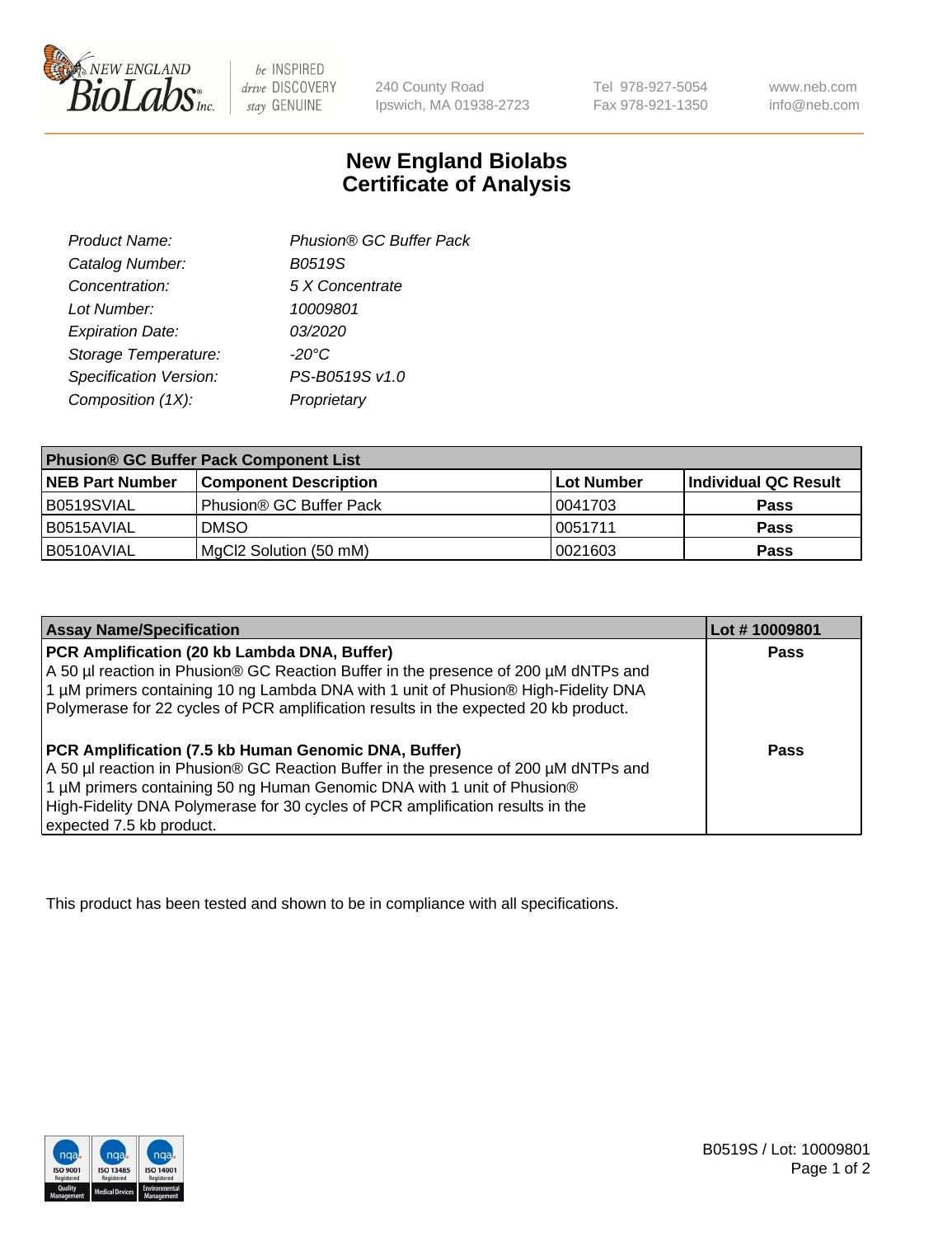

 $be$  INSPIRED drive DISCOVERY stay GENUINE

240 County Road Ipswich, MA 01938-2723

Tel 978-927-5054 Fax 978-921-1350 www.neb.com info@neb.com

## **New England Biolabs Certificate of Analysis**

| Phusion® GC Buffer Pack |
|-------------------------|
| <b>B0519S</b>           |
| 5 X Concentrate         |
| 10009801                |
| 03/2020                 |
| $-20^{\circ}$ C         |
| PS-B0519S v1.0          |
| Proprietary             |
|                         |

| <b>Phusion® GC Buffer Pack Component List</b> |                              |             |                      |  |
|-----------------------------------------------|------------------------------|-------------|----------------------|--|
| <b>NEB Part Number</b>                        | <b>Component Description</b> | ∣Lot Number | Individual QC Result |  |
| B0519SVIAL                                    | Phusion® GC Buffer Pack      | 10041703    | <b>Pass</b>          |  |
| B0515AVIAL                                    | <b>DMSO</b>                  | 10051711    | <b>Pass</b>          |  |
| B0510AVIAL                                    | MgCl2 Solution (50 mM)       | 0021603     | <b>Pass</b>          |  |

| <b>Assay Name/Specification</b>                                                                                                                                                                                                                                                                                                             | Lot #10009801 |
|---------------------------------------------------------------------------------------------------------------------------------------------------------------------------------------------------------------------------------------------------------------------------------------------------------------------------------------------|---------------|
| PCR Amplification (20 kb Lambda DNA, Buffer)<br>A 50 µl reaction in Phusion® GC Reaction Buffer in the presence of 200 µM dNTPs and<br>1 μM primers containing 10 ng Lambda DNA with 1 unit of Phusion® High-Fidelity DNA<br>Polymerase for 22 cycles of PCR amplification results in the expected 20 kb product.                           | <b>Pass</b>   |
| <b>PCR Amplification (7.5 kb Human Genomic DNA, Buffer)</b><br>A 50 µl reaction in Phusion® GC Reaction Buffer in the presence of 200 µM dNTPs and<br>1 µM primers containing 50 ng Human Genomic DNA with 1 unit of Phusion®<br>High-Fidelity DNA Polymerase for 30 cycles of PCR amplification results in the<br>expected 7.5 kb product. | <b>Pass</b>   |

This product has been tested and shown to be in compliance with all specifications.